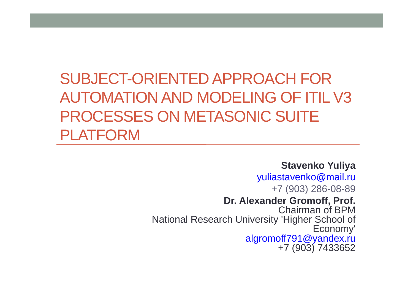# SUBJECT-ORIENTED APPROACH FOR AUTOMATION AND MODELING OF ITIL V3 PROCESSES ON METASONIC SUITE PLATFORM

**Stavenko Yuliya**

yuliastavenko@mail.ru +7 (903) 286-08-89 **Dr. Alexander Gromoff, Prof.** Chairman of BPMNational Research University 'Higher School of Economy'<br>algromoff791@yandex.ru +7 (903) 7433652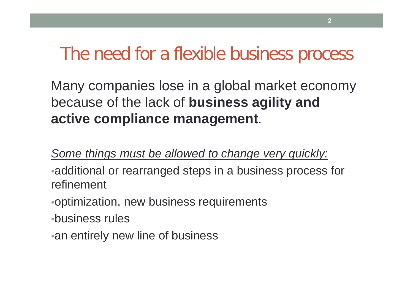### The need for a flexible business process

Many companies lose in a global market economy because of the lack of **business agility and active compliance management**.

*Some things must be allowed to change very quickly:*

- •additional or rearranged steps in a business process for refinement
- •optimization, new business requirements
- •business rules
- •an entirely new line of business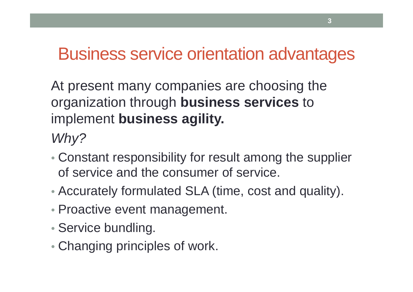### Business service orientation advantages

At present many companies are choosing the organization through **business services** to implement **business agility.**

*Why?*

- Constant responsibility for result among the supplier of service and the consumer of service.
- Accurately formulated SLA (time, cost and quality).
- Proactive event management.
- Service bundling.
- Changing principles of work.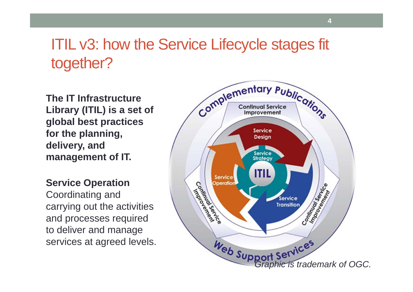#### ITIL v3: how the Service Lifecycle stages fit together?

**The IT Infrastructure Library (ITIL) is a set of global best practices for the planning, delivery, and management of IT.**

**Service Operation** Coordinating and carrying out the activities and processes required to deliver and manage services at agreed levels.



**4**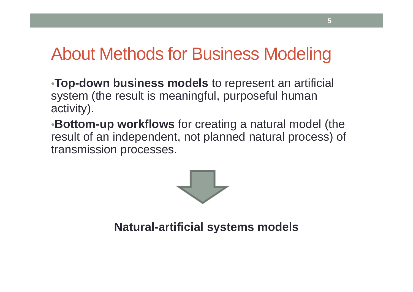# About Methods for Business Modeling

•**Top-down business models** to represent an artificial system (the result is meaningful, purposeful human activity).

•**Bottom-up workflows** for creating a natural model (the result of an independent, not planned natural process) of transmission processes.



**Natural-artificial systems models**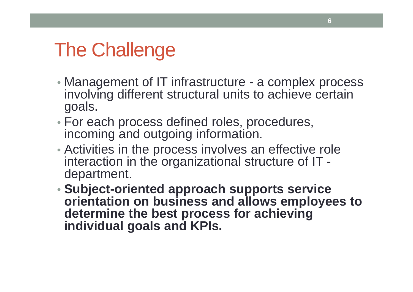# The Challenge

- Management of IT infrastructure a complex process involving different structural units to achieve certain goals.
- For each process defined roles, procedures, incoming and outgoing information.
- Activities in the process involves an effective role interaction in the organizational structure of IT department.
- **Subject-oriented approach supports service orientation on business and allows employees to determine the best process for achieving individual goals and KPIs.**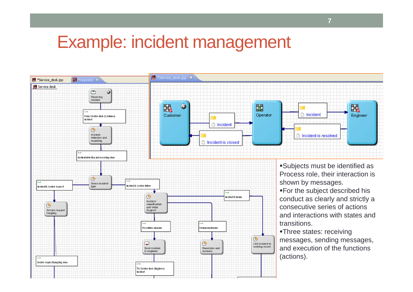#### Example: incident management

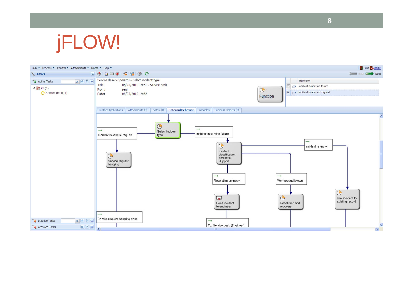

| Task * Process * Control * Attachments * Notes * Help *                           |                                                                                                                                                                                                                                                                                                                                                                                                                                                             | Julia <b>D</b> logout                                                                                                                                                                            |
|-----------------------------------------------------------------------------------|-------------------------------------------------------------------------------------------------------------------------------------------------------------------------------------------------------------------------------------------------------------------------------------------------------------------------------------------------------------------------------------------------------------------------------------------------------------|--------------------------------------------------------------------------------------------------------------------------------------------------------------------------------------------------|
| <b>Tasks</b>                                                                      | 855004900                                                                                                                                                                                                                                                                                                                                                                                                                                                   | <b>Key Back Dept</b> Next                                                                                                                                                                        |
| $x$ $2$ $-$<br>Active Tasks<br>$\triangleq$ $\equiv$ itil (1)<br>Service desk (1) | Service desk->Operator->Select incident type<br>Title:<br>06/20/2010 19:51 - Service desk<br>From:<br>serg<br>06/20/2010 19:52<br>Date:                                                                                                                                                                                                                                                                                                                     | Transition<br>Incident is service failure<br>$\rightarrow$<br>$\mathbb{G}$<br>$\sqrt{ }$ Incident is service request<br>Function                                                                 |
|                                                                                   | Notes (0)<br>Variables<br>Attachments (0)<br>Business Objects (0)<br>Further Applications<br><b>Internal Behavior</b>                                                                                                                                                                                                                                                                                                                                       |                                                                                                                                                                                                  |
| $x$ <sup>2</sup><br><sup>q</sup> Inactive Tasks<br>$(2)$<br>Archived Tasks        | $\bigcirc$<br>$\rightarrow$<br>→<br>Select incident<br>Incident is service failure<br>Incident is service request<br>type<br>$\bigcirc$<br>Incident<br>classification<br>$\bigcirc$<br>and Initial<br>Service request<br>Support<br>hangling<br>$\rightarrow$<br>Resolution unknown<br>$\Box$<br>Send incident<br>to engineer<br>$\rightarrow$<br>Service request hangling done<br>$\rightarrow$<br>To: Service desk (Engineer)<br>$\overline{\phantom{a}}$ | $\rightarrow$<br>Incident is known<br>$\rightarrow$<br>Workaround known<br>$\bigcirc$<br>$\bigcirc$<br>Link incident to<br>existing record<br>Resolution and<br>recovery<br>$\frac{1}{\sqrt{2}}$ |

**8**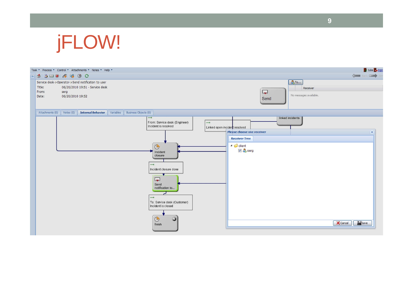

| Task * Process * Control * Attachments * Notes * Help *                                                                                      |                                                                                                                                                                                                                                                                                                   | Julia <b>D</b> logo                                                                                                                                                                                                 |
|----------------------------------------------------------------------------------------------------------------------------------------------|---------------------------------------------------------------------------------------------------------------------------------------------------------------------------------------------------------------------------------------------------------------------------------------------------|---------------------------------------------------------------------------------------------------------------------------------------------------------------------------------------------------------------------|
| ◎ 5 3 山◎ 4 9 0 0                                                                                                                             |                                                                                                                                                                                                                                                                                                   | Ser Back Digital Ser                                                                                                                                                                                                |
| Service desk->Operator->Send notification to user<br>Title:<br>06/20/2010 19:51 - Service desk<br>From:<br>serg<br>06/20/2010 19:52<br>Date: |                                                                                                                                                                                                                                                                                                   | <b>&amp;To</b><br>Receiver<br>$\overline{\phantom{a}}$<br>No messages available.<br>Send                                                                                                                            |
| Attachments (0)<br>Notes (0)<br><b>Internal Behavior</b>                                                                                     | Variables<br>Business Objects (0)                                                                                                                                                                                                                                                                 |                                                                                                                                                                                                                     |
|                                                                                                                                              | $\rightarrow$<br>From: Service desk (Engineer)<br>Incident is resolved<br>$\bigodot$<br>Incident<br>closure<br>$\rightarrow$<br>Incident closure done<br>$\sqrt{2}$<br>Send<br>notification to<br>$\rightarrow$<br>To: Service desk (Customer)<br>Incident is closed<br>$\bigcirc$<br>0<br>finish | linked incidents<br>$\longrightarrow$<br>Linked open incident resolved<br>$\mathbf{\overline{x}}$<br>Please choose one receiver<br><b>Receiver Tree</b><br>$\triangleq$ $\Box$ client<br>V & serg<br>Save<br>Cancel |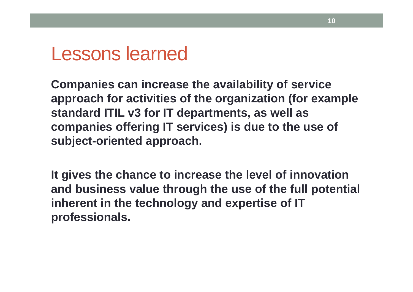## Lessons learned

**Companies can increase the availability of service approach for activities of the organization (for example standard ITIL v3 for IT departments, as well as companies offering IT services) is due to the use of subject-oriented approach.**

**It gives the chance to increase the level of innovation and business value through the use of the full potential inherent in the technology and expertise of IT professionals.**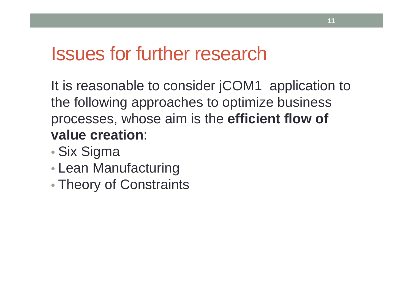# Issues for further research

It is reasonable to consider jCOM1 application to the following approaches to optimize business processes, whose aim is the **efficient flow of value creation**:

- •Six Sigma
- •Lean Manufacturing
- •Theory of Constraints